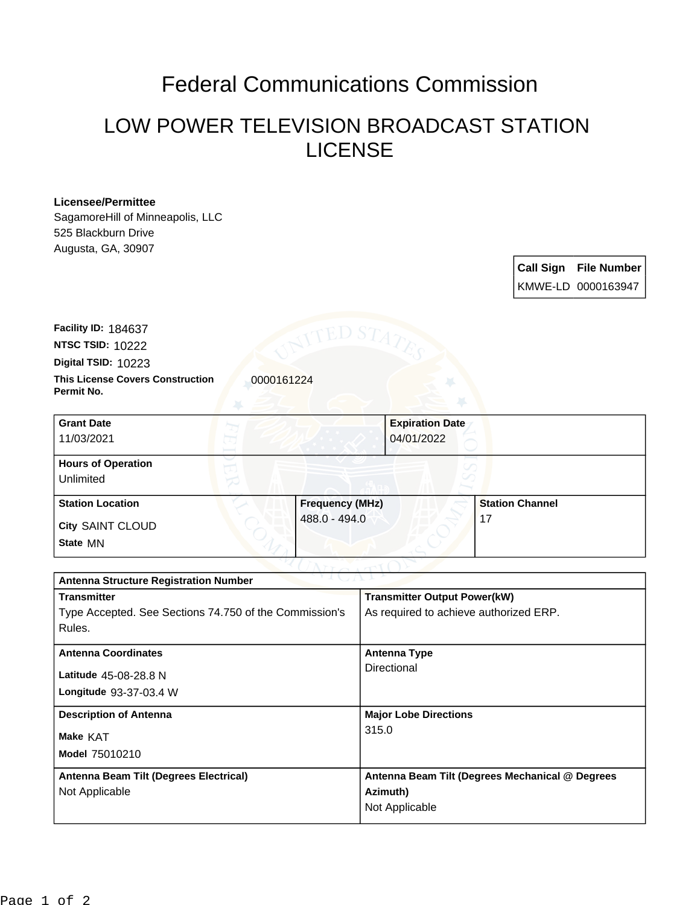## Federal Communications Commission

## LOW POWER TELEVISION BROADCAST STATION LICENSE

## **Licensee/Permittee**

SagamoreHill of Minneapolis, LLC 525 Blackburn Drive Augusta, GA, 30907

> **Call Sign File Number** KMWE-LD 0000163947

**This License Covers Construction**  0000161224 **Permit No. Digital TSID:** 10223 **NTSC TSID:** 10222 **Facility ID:** 184637

| <b>Grant Date</b><br>11/03/2021        |  |                        | <b>Expiration Date</b><br>04/01/2022 |  |
|----------------------------------------|--|------------------------|--------------------------------------|--|
| <b>Hours of Operation</b><br>Unlimited |  |                        |                                      |  |
| <b>Station Location</b>                |  | <b>Frequency (MHz)</b> | <b>Station Channel</b>               |  |
| <b>City SAINT CLOUD</b><br>State MN    |  | 488.0 - 494.0          | 17                                   |  |

| <b>Antenna Structure Registration Number</b>           |                                                 |  |  |
|--------------------------------------------------------|-------------------------------------------------|--|--|
| <b>Transmitter</b>                                     | <b>Transmitter Output Power(kW)</b>             |  |  |
| Type Accepted. See Sections 74.750 of the Commission's | As required to achieve authorized ERP.          |  |  |
| Rules.                                                 |                                                 |  |  |
| <b>Antenna Coordinates</b>                             | Antenna Type                                    |  |  |
| Latitude 45-08-28.8 N                                  | Directional                                     |  |  |
| Longitude 93-37-03.4 W                                 |                                                 |  |  |
| <b>Description of Antenna</b>                          | <b>Major Lobe Directions</b>                    |  |  |
| Make KAT                                               | 315.0                                           |  |  |
| Model 75010210                                         |                                                 |  |  |
| Antenna Beam Tilt (Degrees Electrical)                 | Antenna Beam Tilt (Degrees Mechanical @ Degrees |  |  |
| Not Applicable                                         | Azimuth)                                        |  |  |
|                                                        | Not Applicable                                  |  |  |
|                                                        |                                                 |  |  |